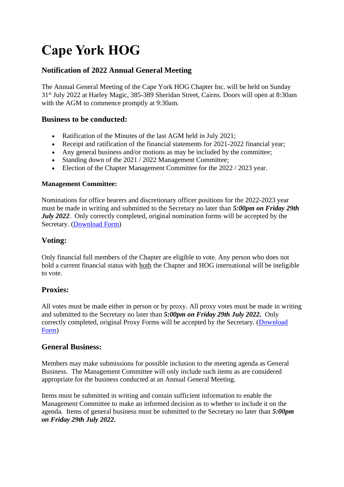# **Cape York HOG**

## **Notification of 2022 Annual General Meeting**

The Annual General Meeting of the Cape York HOG Chapter Inc. will be held on Sunday 31st July 2022 at Harley Magic, 385-389 Sheridan Street, Cairns. Doors will open at 8:30am with the AGM to commence promptly at 9:30am.

#### **Business to be conducted:**

- Ratification of the Minutes of the last AGM held in July 2021;
- Receipt and ratification of the financial statements for 2021-2022 financial year:
- Any general business and/or motions as may be included by the committee;
- Standing down of the 2021 / 2022 Management Committee;
- Election of the Chapter Management Committee for the 2022 / 2023 year.

#### **Management Committee:**

Nominations for office bearers and discretionary officer positions for the 2022-2023 year must be made in writing and submitted to the Secretary no later than *5:00pm on Friday 29th July 2022*. Only correctly completed, original nomination forms will be accepted by the Secretary. [\(Download Form\)](http://www.capeyork-hog.com.au/wp-content/uploads/2022/06/AGM-Notice.pdf)

### **Voting:**

Only financial full members of the Chapter are eligible to vote. Any person who does not hold a current financial status with both the Chapter and HOG international will be ineligible to vote.

### **Proxies:**

All votes must be made either in person or by proxy. All proxy votes must be made in writing and submitted to the Secretary no later than *5:00pm on Friday 29th July 2022.* Only correctly completed, original Proxy Forms will be accepted by the Secretary. [\(Download](http://www.capeyork-hog.com.au/wp-content/uploads/2022/06/proxy-form.pdf)  [Form\)](http://www.capeyork-hog.com.au/wp-content/uploads/2022/06/proxy-form.pdf)

#### **General Business:**

Members may make submissions for possible inclusion to the meeting agenda as General Business. The Management Committee will only include such items as are considered appropriate for the business conducted at an Annual General Meeting.

Items must be submitted in writing and contain sufficient information to enable the Management Committee to make an informed decision as to whether to include it on the agenda. Items of general business must be submitted to the Secretary no later than *5:00pm on Friday 29th July 2022***.**